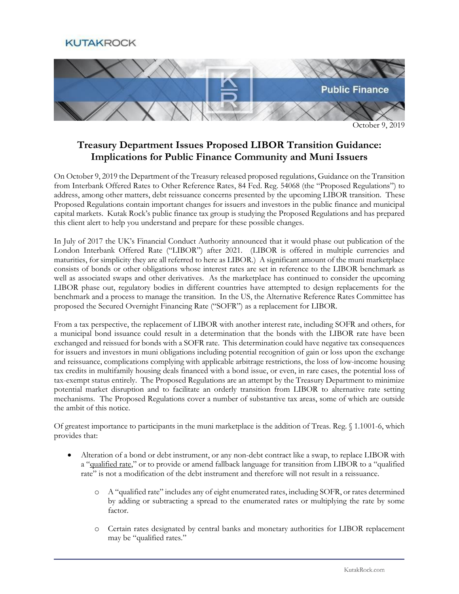**KUTAKROCK** 



October 9, 2019

## **Treasury Department Issues Proposed LIBOR Transition Guidance: Implications for Public Finance Community and Muni Issuers**

On October 9, 2019 the Department of the Treasury released proposed regulations, Guidance on the Transition from Interbank Offered Rates to Other Reference Rates, 84 Fed. Reg. 54068 (the "Proposed Regulations") to address, among other matters, debt reissuance concerns presented by the upcoming LIBOR transition. These Proposed Regulations contain important changes for issuers and investors in the public finance and municipal capital markets. Kutak Rock's public finance tax group is studying the Proposed Regulations and has prepared this client alert to help you understand and prepare for these possible changes.

In July of 2017 the UK's Financial Conduct Authority announced that it would phase out publication of the London Interbank Offered Rate ("LIBOR") after 2021. (LIBOR is offered in multiple currencies and maturities, for simplicity they are all referred to here as LIBOR.) A significant amount of the muni marketplace consists of bonds or other obligations whose interest rates are set in reference to the LIBOR benchmark as well as associated swaps and other derivatives. As the marketplace has continued to consider the upcoming LIBOR phase out, regulatory bodies in different countries have attempted to design replacements for the benchmark and a process to manage the transition. In the US, the Alternative Reference Rates Committee has proposed the Secured Overnight Financing Rate ("SOFR") as a replacement for LIBOR.

From a tax perspective, the replacement of LIBOR with another interest rate, including SOFR and others, for a municipal bond issuance could result in a determination that the bonds with the LIBOR rate have been exchanged and reissued for bonds with a SOFR rate. This determination could have negative tax consequences for issuers and investors in muni obligations including potential recognition of gain or loss upon the exchange and reissuance, complications complying with applicable arbitrage restrictions, the loss of low-income housing tax credits in multifamily housing deals financed with a bond issue, or even, in rare cases, the potential loss of tax-exempt status entirely. The Proposed Regulations are an attempt by the Treasury Department to minimize potential market disruption and to facilitate an orderly transition from LIBOR to alternative rate setting mechanisms. The Proposed Regulations cover a number of substantive tax areas, some of which are outside the ambit of this notice.

Of greatest importance to participants in the muni marketplace is the addition of Treas. Reg. § 1.1001-6, which provides that:

- Alteration of a bond or debt instrument, or any non-debt contract like a swap, to replace LIBOR with a "qualified rate," or to provide or amend fallback language for transition from LIBOR to a "qualified rate" is not a modification of the debt instrument and therefore will not result in a reissuance.
	- o A "qualified rate" includes any of eight enumerated rates, including SOFR, or rates determined by adding or subtracting a spread to the enumerated rates or multiplying the rate by some factor.
	- o Certain rates designated by central banks and monetary authorities for LIBOR replacement may be "qualified rates."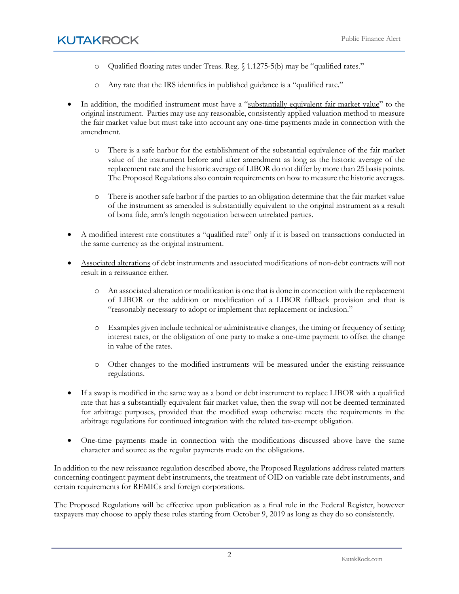- o Qualified floating rates under Treas. Reg. § 1.1275-5(b) may be "qualified rates."
- o Any rate that the IRS identifies in published guidance is a "qualified rate."
- In addition, the modified instrument must have a "substantially equivalent fair market value" to the original instrument. Parties may use any reasonable, consistently applied valuation method to measure the fair market value but must take into account any one-time payments made in connection with the amendment.
	- o There is a safe harbor for the establishment of the substantial equivalence of the fair market value of the instrument before and after amendment as long as the historic average of the replacement rate and the historic average of LIBOR do not differ by more than 25 basis points. The Proposed Regulations also contain requirements on how to measure the historic averages.
	- o There is another safe harbor if the parties to an obligation determine that the fair market value of the instrument as amended is substantially equivalent to the original instrument as a result of bona fide, arm's length negotiation between unrelated parties.
- A modified interest rate constitutes a "qualified rate" only if it is based on transactions conducted in the same currency as the original instrument.
- Associated alterations of debt instruments and associated modifications of non-debt contracts will not result in a reissuance either.
	- o An associated alteration or modification is one that is done in connection with the replacement of LIBOR or the addition or modification of a LIBOR fallback provision and that is "reasonably necessary to adopt or implement that replacement or inclusion."
	- o Examples given include technical or administrative changes, the timing or frequency of setting interest rates, or the obligation of one party to make a one-time payment to offset the change in value of the rates.
	- o Other changes to the modified instruments will be measured under the existing reissuance regulations.
- If a swap is modified in the same way as a bond or debt instrument to replace LIBOR with a qualified rate that has a substantially equivalent fair market value, then the swap will not be deemed terminated for arbitrage purposes, provided that the modified swap otherwise meets the requirements in the arbitrage regulations for continued integration with the related tax-exempt obligation.
- One-time payments made in connection with the modifications discussed above have the same character and source as the regular payments made on the obligations.

In addition to the new reissuance regulation described above, the Proposed Regulations address related matters concerning contingent payment debt instruments, the treatment of OID on variable rate debt instruments, and certain requirements for REMICs and foreign corporations.

The Proposed Regulations will be effective upon publication as a final rule in the Federal Register, however taxpayers may choose to apply these rules starting from October 9, 2019 as long as they do so consistently.